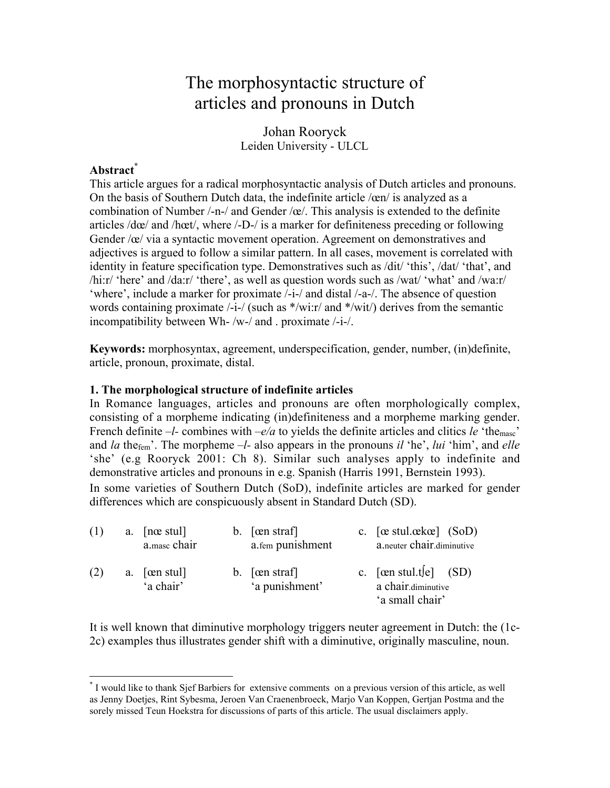# The morphosyntactic structure of articles and pronouns in Dutch

Johan Rooryck Leiden University - ULCL

# **Abstract\***

This article argues for a radical morphosyntactic analysis of Dutch articles and pronouns. On the basis of Southern Dutch data, the indefinite article /œn/ is analyzed as a combination of Number /-n-/ and Gender /œ/. This analysis is extended to the definite articles /dœ/ and /hœt/, where /-D-/ is a marker for definiteness preceding or following Gender /œ/ via a syntactic movement operation. Agreement on demonstratives and adjectives is argued to follow a similar pattern. In all cases, movement is correlated with identity in feature specification type. Demonstratives such as /dit/ 'this', /dat/ 'that', and /hi:r/ 'here' and /da:r/ 'there', as well as question words such as /wat/ 'what' and /wa:r/ 'where', include a marker for proximate /-i-/ and distal /-a-/. The absence of question words containing proximate /-i-/ (such as \*/wi:r/ and \*/wit/) derives from the semantic incompatibility between Wh- /w-/ and . proximate /-i-/.

**Keywords:** morphosyntax, agreement, underspecification, gender, number, (in)definite, article, pronoun, proximate, distal.

#### **1. The morphological structure of indefinite articles**

In Romance languages, articles and pronouns are often morphologically complex, consisting of a morpheme indicating (in)definiteness and a morpheme marking gender. French definite *–l*- combines with *–e/a* to yields the definite articles and clitics *le* 'the<sub>masc</sub>' and *la* thefem'. The morpheme *–l-* also appears in the pronouns *il* 'he', *lui* 'him', and *elle* 'she' (e.g Rooryck 2001: Ch 8). Similar such analyses apply to indefinite and demonstrative articles and pronouns in e.g. Spanish (Harris 1991, Bernstein 1993). In some varieties of Southern Dutch (SoD), indefinite articles are marked for gender

differences which are conspicuously absent in Standard Dutch (SD).

| (1) | a. $[n \alpha \text{ stu}]$<br>a.masc chair | b. $\lceil \text{cen straf} \rceil$<br>a.fem punishment | c. $[\alpha \text{ stu}].\alpha k\alpha]$ (SoD)<br>a.neuter chair.diminutive |
|-----|---------------------------------------------|---------------------------------------------------------|------------------------------------------------------------------------------|
| (2) | a. $[\text{cm} \text{stu}]$<br>'a chair'    | b. $[\text{cen straf}]$<br>'a punishment'               | c. $[\text{cen stud.}t[e]$ (SD)<br>a chair.diminutive<br>'a small chair'     |

It is well known that diminutive morphology triggers neuter agreement in Dutch: the (1c-2c) examples thus illustrates gender shift with a diminutive, originally masculine, noun.

\* <sup>\*</sup> I would like to thank Sjef Barbiers for extensive comments on a previous version of this article, as well as Jenny Doetjes, Rint Sybesma, Jeroen Van Craenenbroeck, Marjo Van Koppen, Gertjan Postma and the sorely missed Teun Hoekstra for discussions of parts of this article. The usual disclaimers apply.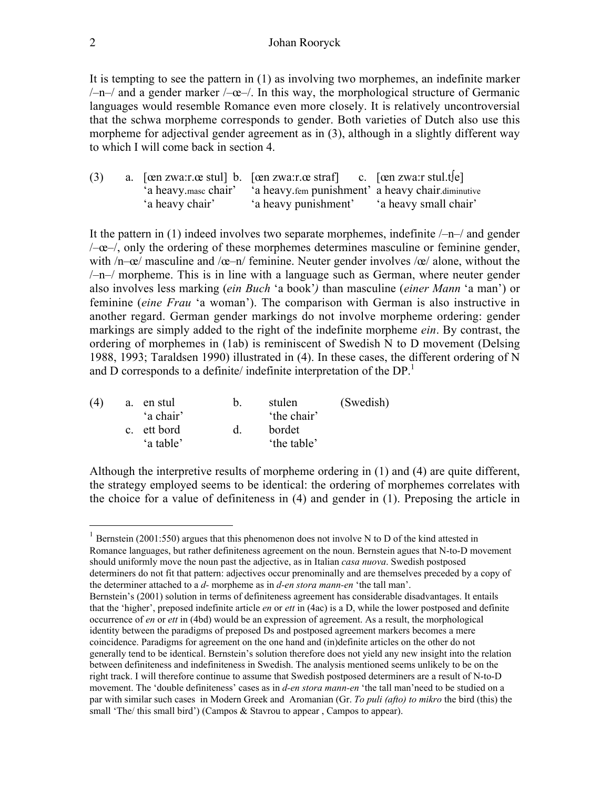#### 2 Johan Rooryck

It is tempting to see the pattern in (1) as involving two morphemes, an indefinite marker  $/-n$ – $/$  and a gender marker  $/-\infty$ – $/$ . In this way, the morphological structure of Germanic languages would resemble Romance even more closely. It is relatively uncontroversial that the schwa morpheme corresponds to gender. Both varieties of Dutch also use this morpheme for adjectival gender agreement as in (3), although in a slightly different way to which I will come back in section 4.

| (3) |                 | a. [cen zwa:r.ce stul] b. [cen zwa:r.ce straf] c. [cen zwa:r stul.tle] |                       |
|-----|-----------------|------------------------------------------------------------------------|-----------------------|
|     |                 | 'a heavy masc chair' 'a heavy fem punishment' a heavy chair diminutive |                       |
|     | 'a heavy chair' | 'a heavy punishment'                                                   | 'a heavy small chair' |

It the pattern in (1) indeed involves two separate morphemes, indefinite  $\rightarrow -\rightarrow$  and gender  $\angle$  - $\alpha$ - $\angle$ , only the ordering of these morphemes determines masculine or feminine gender, with  $/n-\alpha$  masculine and  $/\alpha$ -n feminine. Neuter gender involves  $/\alpha$  alone, without the /–n–/ morpheme. This is in line with a language such as German, where neuter gender also involves less marking (*ein Buch* 'a book'*)* than masculine (*einer Mann* 'a man') or feminine (*eine Frau* 'a woman'). The comparison with German is also instructive in another regard. German gender markings do not involve morpheme ordering: gender markings are simply added to the right of the indefinite morpheme *ein*. By contrast, the ordering of morphemes in (1ab) is reminiscent of Swedish N to D movement (Delsing 1988, 1993; Taraldsen 1990) illustrated in (4). In these cases, the different ordering of N and D corresponds to a definite/ indefinite interpretation of the  $DP<sup>1</sup>$ 

| (4) | a. | en stul                  |  | stulen               | (Swedish) |
|-----|----|--------------------------|--|----------------------|-----------|
|     |    | 'a chair'                |  | 'the chair'          |           |
|     |    | c. ett bord<br>'a table' |  | bordet<br>the table' |           |
|     |    |                          |  |                      |           |

Although the interpretive results of morpheme ordering in (1) and (4) are quite different, the strategy employed seems to be identical: the ordering of morphemes correlates with the choice for a value of definiteness in (4) and gender in (1). Preposing the article in

<sup>1</sup> Bernstein (2001:550) argues that this phenomenon does not involve N to D of the kind attested in Romance languages, but rather definiteness agreement on the noun. Bernstein agues that N-to-D movement should uniformly move the noun past the adjective, as in Italian *casa nuova*. Swedish postposed determiners do not fit that pattern: adjectives occur prenominally and are themselves preceded by a copy of the determiner attached to a *d-* morpheme as in *d-en stora mann-en* 'the tall man'.

Bernstein's (2001) solution in terms of definiteness agreement has considerable disadvantages. It entails that the 'higher', preposed indefinite article *en* or *ett* in (4ac) is a D, while the lower postposed and definite occurrence of *en* or *ett* in (4bd) would be an expression of agreement. As a result, the morphological identity between the paradigms of preposed Ds and postposed agreement markers becomes a mere coincidence. Paradigms for agreement on the one hand and (in)definite articles on the other do not generally tend to be identical. Bernstein's solution therefore does not yield any new insight into the relation between definiteness and indefiniteness in Swedish. The analysis mentioned seems unlikely to be on the right track. I will therefore continue to assume that Swedish postposed determiners are a result of N-to-D movement. The 'double definiteness' cases as in *d-en stora mann-en* 'the tall man'need to be studied on a par with similar such cases in Modern Greek and Aromanian (Gr. *To puli (afto) to mikro* the bird (this) the small 'The/ this small bird') (Campos & Stavrou to appear, Campos to appear).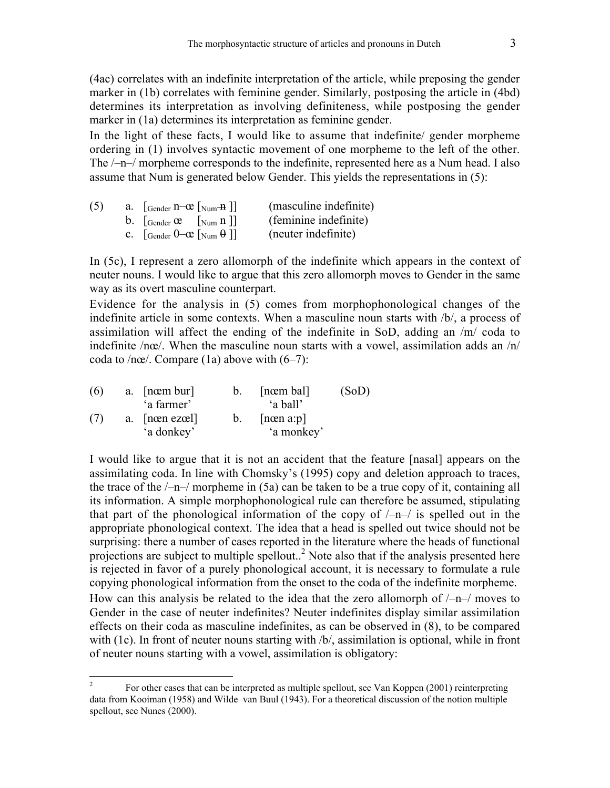(4ac) correlates with an indefinite interpretation of the article, while preposing the gender marker in (1b) correlates with feminine gender. Similarly, postposing the article in (4bd) determines its interpretation as involving definiteness, while postposing the gender marker in (1a) determines its interpretation as feminine gender.

In the light of these facts, I would like to assume that indefinite/ gender morpheme ordering in (1) involves syntactic movement of one morpheme to the left of the other. The /–n–/ morpheme corresponds to the indefinite, represented here as a Num head. I also assume that Num is generated below Gender. This yields the representations in (5):

| (5) | a. [Gender $n$ – $\alpha$ [Num– $\frac{n}{n}$ ]]                                    | (masculine indefinite) |
|-----|-------------------------------------------------------------------------------------|------------------------|
|     | b. $\left  \text{Gender } \mathfrak{E} \right $ $\left  \text{Num } n \right $      | (feminine indefinite)  |
|     | C. $\left[\text{Gender } 0 - \text{ce } \right]$ $\left[\text{Num } \theta \right]$ | (neuter indefinite)    |

In (5c), I represent a zero allomorph of the indefinite which appears in the context of neuter nouns. I would like to argue that this zero allomorph moves to Gender in the same way as its overt masculine counterpart.

Evidence for the analysis in (5) comes from morphophonological changes of the indefinite article in some contexts. When a masculine noun starts with /b/, a process of assimilation will affect the ending of the indefinite in SoD, adding an /m/ coda to indefinite /nœ/. When the masculine noun starts with a vowel, assimilation adds an /n/ coda to /nœ/. Compare (1a) above with  $(6-7)$ :

| (6) | a. [nom bur]   | $b_{-}$     | [nœm bal]            | (SoD) |
|-----|----------------|-------------|----------------------|-------|
|     | 'a farmer'     |             | 'a ball'             |       |
| (7) | a. [nom ezoel] | $b_{\perp}$ | $[n \text{cm } a:p]$ |       |
|     | 'a donkey'     |             | 'a monkey'           |       |

I would like to argue that it is not an accident that the feature [nasal] appears on the assimilating coda. In line with Chomsky's (1995) copy and deletion approach to traces, the trace of the  $/-n-/-$  morpheme in (5a) can be taken to be a true copy of it, containing all its information. A simple morphophonological rule can therefore be assumed, stipulating that part of the phonological information of the copy of  $\lambda$ –n– $\lambda$  is spelled out in the appropriate phonological context. The idea that a head is spelled out twice should not be surprising: there a number of cases reported in the literature where the heads of functional projections are subject to multiple spellout..<sup>2</sup> Note also that if the analysis presented here is rejected in favor of a purely phonological account, it is necessary to formulate a rule copying phonological information from the onset to the coda of the indefinite morpheme. How can this analysis be related to the idea that the zero allomorph of  $/-\eta$  moves to Gender in the case of neuter indefinites? Neuter indefinites display similar assimilation effects on their coda as masculine indefinites, as can be observed in (8), to be compared with (1c). In front of neuter nouns starting with  $/b/$ , assimilation is optional, while in front of neuter nouns starting with a vowel, assimilation is obligatory:

<sup>&</sup>lt;sup>2</sup> For other cases that can be interpreted as multiple spellout, see Van Koppen (2001) reinterpreting data from Kooiman (1958) and Wilde–van Buul (1943). For a theoretical discussion of the notion multiple spellout, see Nunes (2000).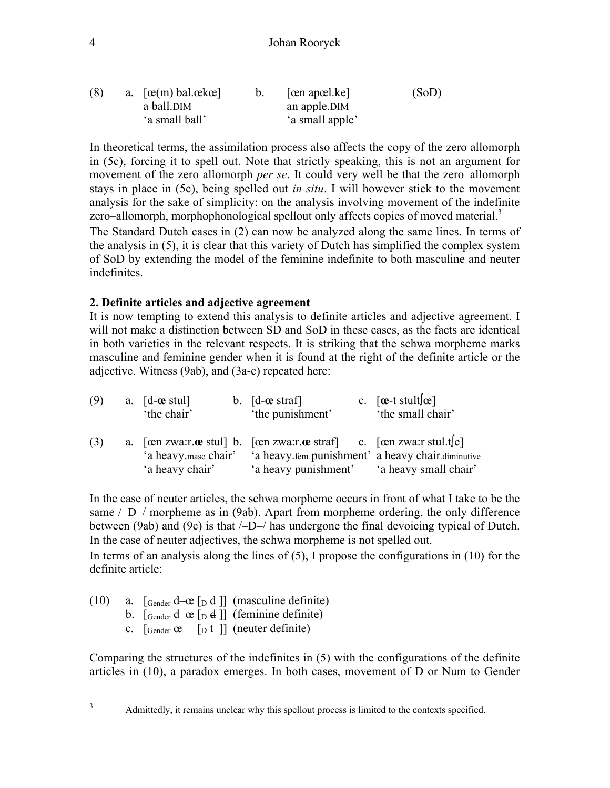## 4 Johan Rooryck

| (8) | a. $[\alpha(m)$ bal. $\alpha k \alpha]$ | $ \text{cen apæl}.\text{ke} $ | (SoD) |
|-----|-----------------------------------------|-------------------------------|-------|
|     | a ball.DIM                              | an apple.DIM                  |       |
|     | 'a small ball'                          | 'a small apple'               |       |

In theoretical terms, the assimilation process also affects the copy of the zero allomorph in (5c), forcing it to spell out. Note that strictly speaking, this is not an argument for movement of the zero allomorph *per se*. It could very well be that the zero–allomorph stays in place in (5c), being spelled out *in situ*. I will however stick to the movement analysis for the sake of simplicity: on the analysis involving movement of the indefinite zero–allomorph, morphophonological spellout only affects copies of moved material. $3$ The Standard Dutch cases in (2) can now be analyzed along the same lines. In terms of

the analysis in (5), it is clear that this variety of Dutch has simplified the complex system of SoD by extending the model of the feminine indefinite to both masculine and neuter indefinites.

# **2. Definite articles and adjective agreement**

It is now tempting to extend this analysis to definite articles and adjective agreement. I will not make a distinction between SD and SoD in these cases, as the facts are identical in both varieties in the relevant respects. It is striking that the schwa morpheme marks masculine and feminine gender when it is found at the right of the definite article or the adjective. Witness (9ab), and (3a-c) repeated here:

| (9) | a. $\lceil d$ - <b>ce</b> stul]<br>'the chair' | b. $\lceil d$ -ce straf $\rceil$<br>'the punishment'                   | c. $[\alpha$ -t stult $[\alpha]$<br>'the small chair' |
|-----|------------------------------------------------|------------------------------------------------------------------------|-------------------------------------------------------|
| (3) |                                                | a. [cen zwa:r.ce stul] b. [cen zwa:r.ce straf] c. [cen zwa:r stul.tle] |                                                       |
|     | 'a heavy masc chair'                           | 'a heavy fem punishment' a heavy chair diminutive                      |                                                       |
|     | 'a heavy chair'                                | 'a heavy punishment' a heavy small chair'                              |                                                       |

In the case of neuter articles, the schwa morpheme occurs in front of what I take to be the same /–D–/ morpheme as in (9ab). Apart from morpheme ordering, the only difference between (9ab) and (9c) is that /–D–/ has undergone the final devoicing typical of Dutch. In the case of neuter adjectives, the schwa morpheme is not spelled out.

In terms of an analysis along the lines of (5), I propose the configurations in (10) for the definite article:

- (10) a.  $\lceil \text{Gender } d \text{ce } \lceil \text{p } d \rceil \rceil$  (masculine definite)
	- b.  $\int_{\text{Gender}} d-\infty$   $\int_{\text{D}} d$ ] (feminine definite)
	- c.  $\lceil \text{Gender } \mathfrak{E} \rceil$   $\lceil \text{pt } \rceil$  (neuter definite)

Comparing the structures of the indefinites in (5) with the configurations of the definite articles in (10), a paradox emerges. In both cases, movement of D or Num to Gender

<sup>&</sup>lt;sup>3</sup> Admittedly, it remains unclear why this spellout process is limited to the contexts specified.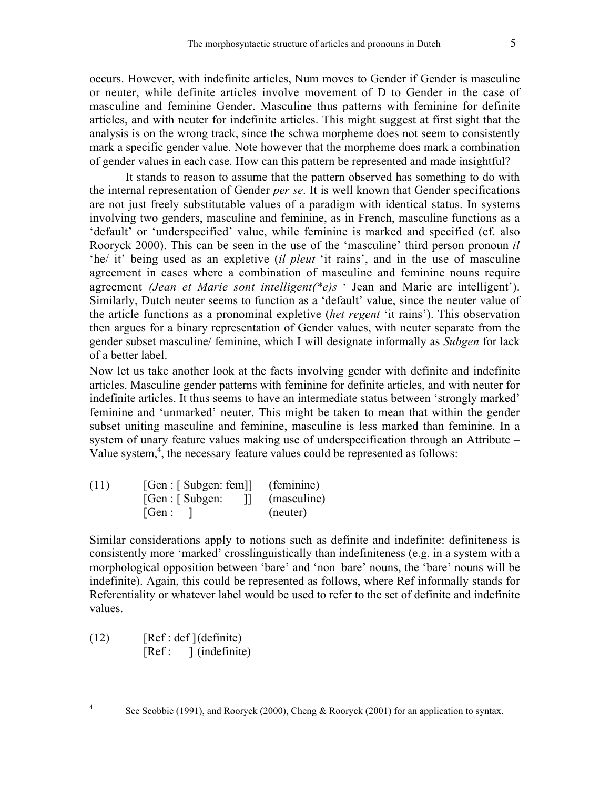occurs. However, with indefinite articles, Num moves to Gender if Gender is masculine or neuter, while definite articles involve movement of D to Gender in the case of masculine and feminine Gender. Masculine thus patterns with feminine for definite articles, and with neuter for indefinite articles. This might suggest at first sight that the analysis is on the wrong track, since the schwa morpheme does not seem to consistently mark a specific gender value. Note however that the morpheme does mark a combination of gender values in each case. How can this pattern be represented and made insightful?

It stands to reason to assume that the pattern observed has something to do with the internal representation of Gender *per se*. It is well known that Gender specifications are not just freely substitutable values of a paradigm with identical status. In systems involving two genders, masculine and feminine, as in French, masculine functions as a 'default' or 'underspecified' value, while feminine is marked and specified (cf. also Rooryck 2000). This can be seen in the use of the 'masculine' third person pronoun *il* 'he/ it' being used as an expletive (*il pleut* 'it rains', and in the use of masculine agreement in cases where a combination of masculine and feminine nouns require agreement *(Jean et Marie sont intelligent(\*e)s* ' Jean and Marie are intelligent'). Similarly, Dutch neuter seems to function as a 'default' value, since the neuter value of the article functions as a pronominal expletive (*het regent* 'it rains'). This observation then argues for a binary representation of Gender values, with neuter separate from the gender subset masculine/ feminine, which I will designate informally as *Subgen* for lack of a better label.

Now let us take another look at the facts involving gender with definite and indefinite articles. Masculine gender patterns with feminine for definite articles, and with neuter for indefinite articles. It thus seems to have an intermediate status between 'strongly marked' feminine and 'unmarked' neuter. This might be taken to mean that within the gender subset uniting masculine and feminine, masculine is less marked than feminine. In a system of unary feature values making use of underspecification through an Attribute – Value system, $\frac{4}{3}$ , the necessary feature values could be represented as follows:

 $(11)$  [Gen : [ Subgen: fem]] (feminine) [Gen : [ Subgen: ]] (masculine) [Gen : ] (neuter)

Similar considerations apply to notions such as definite and indefinite: definiteness is consistently more 'marked' crosslinguistically than indefiniteness (e.g. in a system with a morphological opposition between 'bare' and 'non–bare' nouns, the 'bare' nouns will be indefinite). Again, this could be represented as follows, where Ref informally stands for Referentiality or whatever label would be used to refer to the set of definite and indefinite values.

 $(12)$  [Ref : def ](definite) [Ref : ] (indefinite)

<sup>&</sup>lt;sup>4</sup> See Scobbie (1991), and Rooryck (2000), Cheng & Rooryck (2001) for an application to syntax.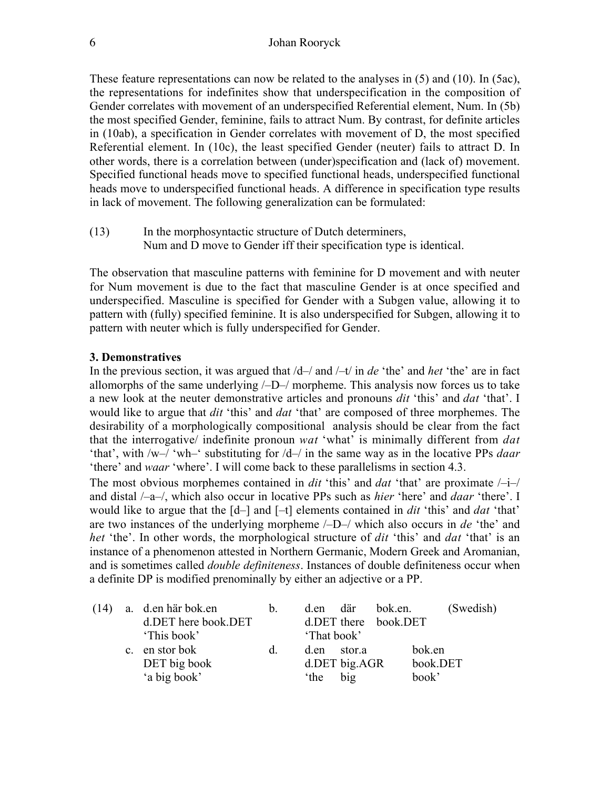These feature representations can now be related to the analyses in (5) and (10). In (5ac), the representations for indefinites show that underspecification in the composition of Gender correlates with movement of an underspecified Referential element, Num. In (5b) the most specified Gender, feminine, fails to attract Num. By contrast, for definite articles in (10ab), a specification in Gender correlates with movement of D, the most specified Referential element. In (10c), the least specified Gender (neuter) fails to attract D. In other words, there is a correlation between (under)specification and (lack of) movement. Specified functional heads move to specified functional heads, underspecified functional heads move to underspecified functional heads. A difference in specification type results in lack of movement. The following generalization can be formulated:

(13) In the morphosyntactic structure of Dutch determiners, Num and D move to Gender iff their specification type is identical.

The observation that masculine patterns with feminine for D movement and with neuter for Num movement is due to the fact that masculine Gender is at once specified and underspecified. Masculine is specified for Gender with a Subgen value, allowing it to pattern with (fully) specified feminine. It is also underspecified for Subgen, allowing it to pattern with neuter which is fully underspecified for Gender.

#### **3. Demonstratives**

In the previous section, it was argued that /d–/ and /–t/ in *de* 'the' and *het* 'the' are in fact allomorphs of the same underlying  $\angle$ D $\angle$  morpheme. This analysis now forces us to take a new look at the neuter demonstrative articles and pronouns *dit* 'this' and *dat* 'that'. I would like to argue that *dit* 'this' and *dat* 'that' are composed of three morphemes. The desirability of a morphologically compositional analysis should be clear from the fact that the interrogative/ indefinite pronoun *wat* 'what' is minimally different from *dat* 'that', with /w–/ 'wh–' substituting for /d–/ in the same way as in the locative PPs *daar* 'there' and *waar* 'where'. I will come back to these parallelisms in section 4.3.

The most obvious morphemes contained in *dit* 'this' and *dat* 'that' are proximate /–i–/ and distal /–a–/, which also occur in locative PPs such as *hier* 'here' and *daar* 'there'. I would like to argue that the [d–] and [–t] elements contained in *dit* 'this' and *dat* 'that' are two instances of the underlying morpheme /–D–/ which also occurs in *de* 'the' and *het* 'the'. In other words, the morphological structure of *dit* 'this' and *dat* 'that' is an instance of a phenomenon attested in Northern Germanic, Modern Greek and Aromanian, and is sometimes called *double definiteness*. Instances of double definiteness occur when a definite DP is modified prenominally by either an adjective or a PP.

|  | $(14)$ a. d.en här bok.en | $b_{-}$ | d.en där bok.en.        | (Swedish) |
|--|---------------------------|---------|-------------------------|-----------|
|  | d.DET here book.DET       |         | $d$ .DET there book.DET |           |
|  | 'This book'               |         | 'That book'             |           |
|  | c. en stor bok            | d.      | d.en stor.a             | bok.en    |
|  | DET big book              |         | d.DET big.AGR           | book.DET  |
|  | 'a big book'              |         | big<br>the <sup>-</sup> | book'     |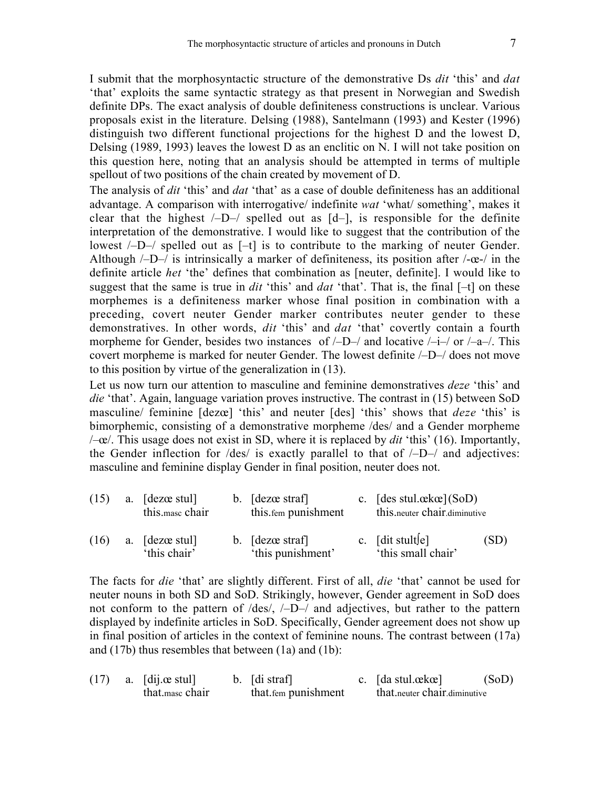I submit that the morphosyntactic structure of the demonstrative Ds *dit* 'this' and *dat* 'that' exploits the same syntactic strategy as that present in Norwegian and Swedish definite DPs. The exact analysis of double definiteness constructions is unclear. Various proposals exist in the literature. Delsing (1988), Santelmann (1993) and Kester (1996) distinguish two different functional projections for the highest D and the lowest D, Delsing (1989, 1993) leaves the lowest D as an enclitic on N. I will not take position on this question here, noting that an analysis should be attempted in terms of multiple spellout of two positions of the chain created by movement of D.

The analysis of *dit* 'this' and *dat* 'that' as a case of double definiteness has an additional advantage. A comparison with interrogative/ indefinite *wat* 'what/ something', makes it clear that the highest  $/-D-/-$  spelled out as  $[d-]$ , is responsible for the definite interpretation of the demonstrative. I would like to suggest that the contribution of the lowest /–D–/ spelled out as [–t] is to contribute to the marking of neuter Gender. Although  $\text{/}$ -D- $\text{/}$  is intrinsically a marker of definiteness, its position after  $\text{/}$ - $\alpha$ - $\text{/}$  in the definite article *het* 'the' defines that combination as [neuter, definite]. I would like to suggest that the same is true in *dit* 'this' and *dat* 'that'. That is, the final [–t] on these morphemes is a definiteness marker whose final position in combination with a preceding, covert neuter Gender marker contributes neuter gender to these demonstratives. In other words, *dit* 'this' and *dat* 'that' covertly contain a fourth morpheme for Gender, besides two instances of  $\sqrt{-D}$  and locative  $\sqrt{-i}$  or  $\sqrt{-a}$ . This covert morpheme is marked for neuter Gender. The lowest definite /–D–/ does not move to this position by virtue of the generalization in (13).

Let us now turn our attention to masculine and feminine demonstratives *deze* 'this' and *die* 'that'. Again, language variation proves instructive. The contrast in (15) between SoD masculine/ feminine [dezœ] 'this' and neuter [des] 'this' shows that *deze* 'this' is bimorphemic, consisting of a demonstrative morpheme /des/ and a Gender morpheme /–œ/. This usage does not exist in SD, where it is replaced by *dit* 'this' (16). Importantly, the Gender inflection for  $\text{des}/$  is exactly parallel to that of  $\text{--}D$ - $\text{--}$  and adjectives: masculine and feminine display Gender in final position, neuter does not.

| (15) | a. [dezœ stul]<br>this mase chair | b. [dezœ straf]<br>this fem punishment | c. [des stul. $\alpha k \alpha$ ](SoD)<br>this neuter chair diminutive |      |
|------|-----------------------------------|----------------------------------------|------------------------------------------------------------------------|------|
| (16) | a. [dezœ stul]<br>'this chair'    | b. [dezœ straf]<br>'this punishment'   | c. $\lceil \text{dit}\ \text{stult} \rceil$<br>'this small chair'      | (SD) |

The facts for *die* 'that' are slightly different. First of all, *die* 'that' cannot be used for neuter nouns in both SD and SoD. Strikingly, however, Gender agreement in SoD does not conform to the pattern of /des/, /–D–/ and adjectives, but rather to the pattern displayed by indefinite articles in SoD. Specifically, Gender agreement does not show up in final position of articles in the context of feminine nouns. The contrast between (17a) and (17b) thus resembles that between (1a) and (1b):

|  | $(17)$ a. [dij. $\alpha$ stul] | $\mathbf{b}$ . [di straf] | c. $\lceil da \nvert \text{stu} \rceil$ | (SoD) |
|--|--------------------------------|---------------------------|-----------------------------------------|-------|
|  | that mase chair                | that fem punishment       | that, neuter chair, diminutive          |       |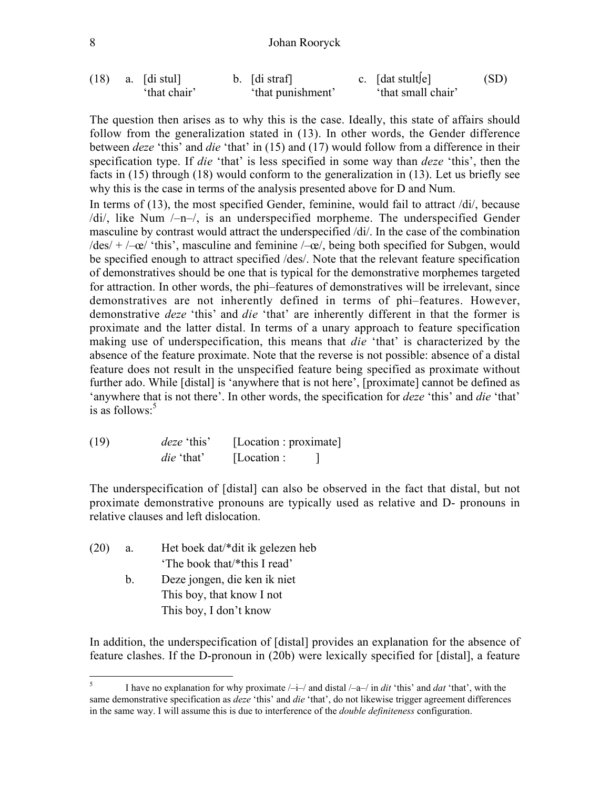#### 8 Johan Rooryck

(18) a. [di stul] b. [di straf] c. [dat stult∫e] (SD) 'that chair' 'that punishment' 'that small chair'

The question then arises as to why this is the case. Ideally, this state of affairs should follow from the generalization stated in (13). In other words, the Gender difference between *deze* 'this' and *die* 'that' in (15) and (17) would follow from a difference in their specification type. If *die* 'that' is less specified in some way than *deze* 'this', then the facts in (15) through (18) would conform to the generalization in (13). Let us briefly see why this is the case in terms of the analysis presented above for D and Num.

In terms of (13), the most specified Gender, feminine, would fail to attract /di/, because /di/, like Num /–n–/, is an underspecified morpheme. The underspecified Gender masculine by contrast would attract the underspecified /di/. In the case of the combination  $|\text{des}| + |- \text{ce}|$  'this', masculine and feminine  $|-\text{ce}|$ , being both specified for Subgen, would be specified enough to attract specified /des/. Note that the relevant feature specification of demonstratives should be one that is typical for the demonstrative morphemes targeted for attraction. In other words, the phi–features of demonstratives will be irrelevant, since demonstratives are not inherently defined in terms of phi–features. However, demonstrative *deze* 'this' and *die* 'that' are inherently different in that the former is proximate and the latter distal. In terms of a unary approach to feature specification making use of underspecification, this means that *die* 'that' is characterized by the absence of the feature proximate. Note that the reverse is not possible: absence of a distal feature does not result in the unspecified feature being specified as proximate without further ado. While [distal] is 'anywhere that is not here', [proximate] cannot be defined as 'anywhere that is not there'. In other words, the specification for *deze* 'this' and *die* 'that' is as follows: $5$ 

(19) *deze* 'this' [Location : proximate] *die* 'that' [Location : ]

The underspecification of [distal] can also be observed in the fact that distal, but not proximate demonstrative pronouns are typically used as relative and D- pronouns in relative clauses and left dislocation.

| (20) | a. | Het boek dat/*dit ik gelezen heb |
|------|----|----------------------------------|
|      |    | 'The book that/*this I read'     |
|      |    | Deze jongen, die ken ik niet     |

This boy, that know I not This boy, I don't know

In addition, the underspecification of [distal] provides an explanation for the absence of feature clashes. If the D-pronoun in (20b) were lexically specified for [distal], a feature

<sup>&</sup>lt;sup>5</sup> I have no explanation for why proximate  $/-i$ –/ and distal  $/-a$ –/ in *dit* 'this' and *dat* 'that', with the same demonstrative specification as *deze* 'this' and *die* 'that', do not likewise trigger agreement differences in the same way. I will assume this is due to interference of the *double definiteness* configuration.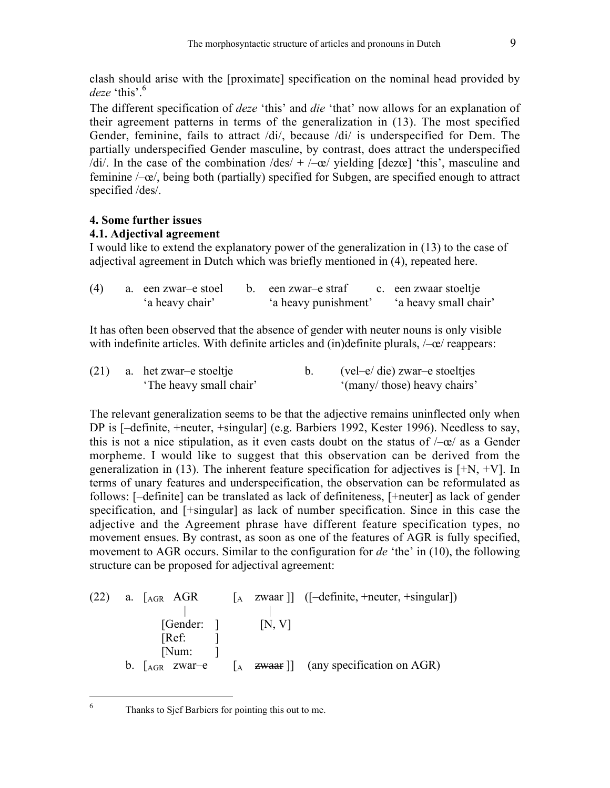clash should arise with the [proximate] specification on the nominal head provided by  $deze$  'this'.<sup>6</sup>

The different specification of *deze* 'this' and *die* 'that' now allows for an explanation of their agreement patterns in terms of the generalization in (13). The most specified Gender, feminine, fails to attract /di/, because /di/ is underspecified for Dem. The partially underspecified Gender masculine, by contrast, does attract the underspecified /di/. In the case of the combination /des/  $+$  /–œ/ yielding [dezœ] 'this', masculine and feminine /–œ/, being both (partially) specified for Subgen, are specified enough to attract specified /des/.

# **4. Some further issues**

# **4.1. Adjectival agreement**

I would like to extend the explanatory power of the generalization in (13) to the case of adjectival agreement in Dutch which was briefly mentioned in (4), repeated here.

| (4) | a. een zwar-e stoel | b. een zwar-e straf  | c. een zwaar stoeltje |
|-----|---------------------|----------------------|-----------------------|
|     | 'a heavy chair'     | 'a heavy punishment' | 'a heavy small chair' |

It has often been observed that the absence of gender with neuter nouns is only visible with indefinite articles. With definite articles and (in)definite plurals,  $\angle-\alpha$  reappears:

|  | $(21)$ a. het zwar-e stoeltje | $\text{(vel–e/ die)} z \text{war--e}$ stoeltjes |
|--|-------------------------------|-------------------------------------------------|
|  | 'The heavy small chair'       | "(many/those) heavy chairs"                     |

The relevant generalization seems to be that the adjective remains uninflected only when DP is [–definite, +neuter, +singular] (e.g. Barbiers 1992, Kester 1996). Needless to say, this is not a nice stipulation, as it even casts doubt on the status of  $-\infty$  as a Gender morpheme. I would like to suggest that this observation can be derived from the generalization in (13). The inherent feature specification for adjectives is  $[+N, +V]$ . In terms of unary features and underspecification, the observation can be reformulated as follows: [–definite] can be translated as lack of definiteness, [+neuter] as lack of gender specification, and [+singular] as lack of number specification. Since in this case the adjective and the Agreement phrase have different feature specification types, no movement ensues. By contrast, as soon as one of the features of AGR is fully specified, movement to AGR occurs. Similar to the configuration for *de* 'the' in (10), the following structure can be proposed for adjectival agreement:

(22) a. [AGR AGR [A zwaar ]] ([–definite, +neuter, +singular]) | | [Gender: ] [N, V] [Ref: ] [Num: ] b. [AGR zwar–e [A zwaar ]] (any specification on AGR)

6 Thanks to Sjef Barbiers for pointing this out to me.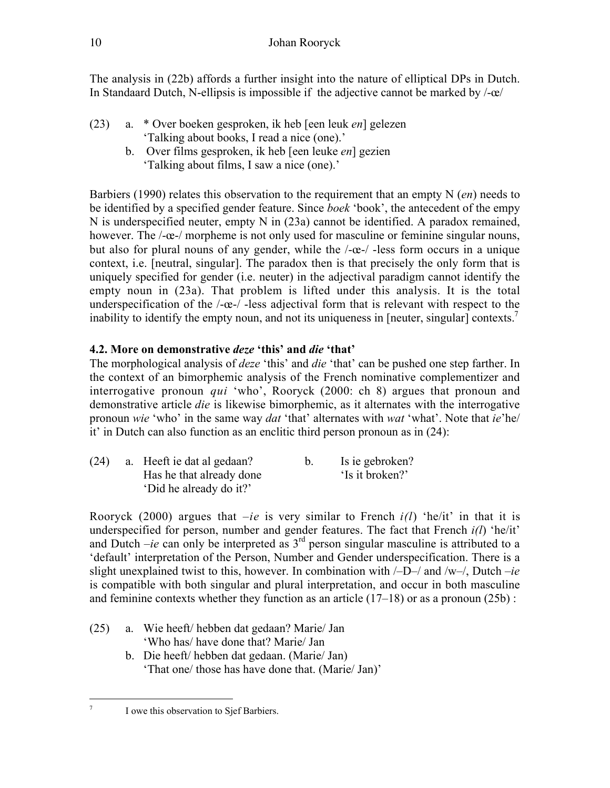The analysis in (22b) affords a further insight into the nature of elliptical DPs in Dutch. In Standaard Dutch, N-ellipsis is impossible if the adjective cannot be marked by  $-\alpha$ 

- (23) a. \* Over boeken gesproken, ik heb [een leuk *en*] gelezen 'Talking about books, I read a nice (one).'
	- b. Over films gesproken, ik heb [een leuke *en*] gezien 'Talking about films, I saw a nice (one).'

Barbiers (1990) relates this observation to the requirement that an empty N (*en*) needs to be identified by a specified gender feature. Since *boek* 'book', the antecedent of the empy N is underspecified neuter, empty N in (23a) cannot be identified. A paradox remained, however. The  $/-\alpha$ -/ morpheme is not only used for masculine or feminine singular nouns, but also for plural nouns of any gender, while the /-œ-/ -less form occurs in a unique context, i.e. [neutral, singular]. The paradox then is that precisely the only form that is uniquely specified for gender (i.e. neuter) in the adjectival paradigm cannot identify the empty noun in (23a). That problem is lifted under this analysis. It is the total underspecification of the  $/-\infty-/-$  less adjectival form that is relevant with respect to the inability to identify the empty noun, and not its uniqueness in [neuter, singular] contexts.<sup>7</sup>

# **4.2. More on demonstrative** *deze* **'this' and** *die* **'that'**

The morphological analysis of *deze* 'this' and *die* 'that' can be pushed one step farther. In the context of an bimorphemic analysis of the French nominative complementizer and interrogative pronoun *qui* 'who', Rooryck (2000: ch 8) argues that pronoun and demonstrative article *die* is likewise bimorphemic, as it alternates with the interrogative pronoun *wie* 'who' in the same way *dat* 'that' alternates with *wat* 'what'. Note that *ie*'he/ it' in Dutch can also function as an enclitic third person pronoun as in (24):

| (24) | a. Heeft ie dat al gedaan? |  | Is ie gebroken? |  |
|------|----------------------------|--|-----------------|--|
|      | Has he that already done   |  | 'Is it broken?' |  |
|      | 'Did he already do it?'    |  |                 |  |

Rooryck (2000) argues that *–ie* is very similar to French *i(l*) 'he/it' in that it is underspecified for person, number and gender features. The fact that French *i(l*) 'he/it' and Dutch  $-ie$  can only be interpreted as  $3<sup>rd</sup>$  person singular masculine is attributed to a 'default' interpretation of the Person, Number and Gender underspecification. There is a slight unexplained twist to this, however. In combination with /–D–/ and /w–/, Dutch *–ie* is compatible with both singular and plural interpretation, and occur in both masculine and feminine contexts whether they function as an article  $(17-18)$  or as a pronoun  $(25b)$ :

- (25) a. Wie heeft/ hebben dat gedaan? Marie/ Jan 'Who has/ have done that? Marie/ Jan
	- b. Die heeft/ hebben dat gedaan. (Marie/ Jan) 'That one/ those has have done that. (Marie/ Jan)'

<sup>&</sup>lt;sup>7</sup> I owe this observation to Sjef Barbiers.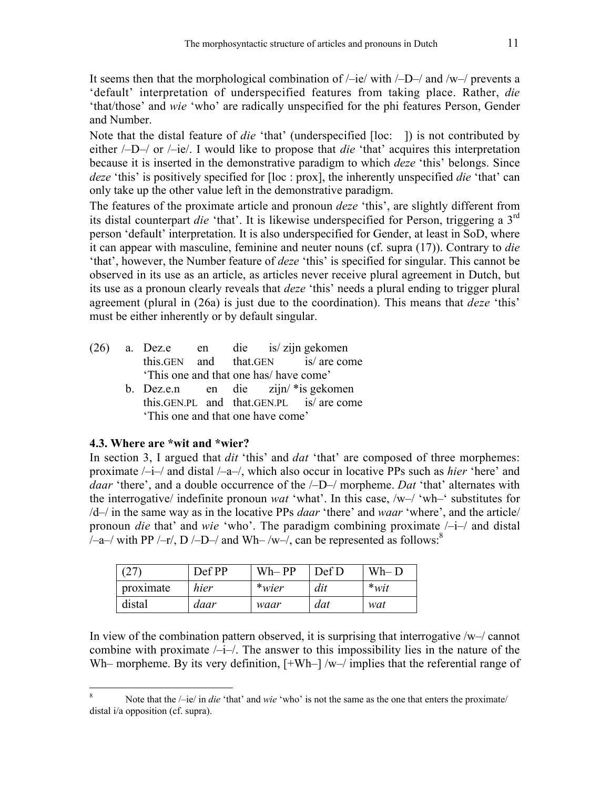It seems then that the morphological combination of  $/$ –ie/ with  $/$ –D– $/$  and  $/$ w– $/$  prevents a 'default' interpretation of underspecified features from taking place. Rather, *die* 'that/those' and *wie* 'who' are radically unspecified for the phi features Person, Gender and Number.

Note that the distal feature of *die* 'that' (underspecified [loc: ]) is not contributed by either /–D–/ or /–ie/. I would like to propose that *die* 'that' acquires this interpretation because it is inserted in the demonstrative paradigm to which *deze* 'this' belongs. Since *deze* 'this' is positively specified for [loc : prox], the inherently unspecified *die* 'that' can only take up the other value left in the demonstrative paradigm.

The features of the proximate article and pronoun *deze* 'this', are slightly different from its distal counterpart *die* 'that'. It is likewise underspecified for Person, triggering a 3rd person 'default' interpretation. It is also underspecified for Gender, at least in SoD, where it can appear with masculine, feminine and neuter nouns (cf. supra (17)). Contrary to *die* 'that', however, the Number feature of *deze* 'this' is specified for singular. This cannot be observed in its use as an article, as articles never receive plural agreement in Dutch, but its use as a pronoun clearly reveals that *deze* 'this' needs a plural ending to trigger plural agreement (plural in (26a) is just due to the coordination). This means that *deze* 'this' must be either inherently or by default singular.

- (26) a. Dez.e en die is/ zijn gekomen this.GEN and that.GEN is/ are come 'This one and that one has/ have come'
	- b. Dez.e.n en die zijn/ \*is gekomen this.GEN.PL and that.GEN.PL is/ are come 'This one and that one have come'

#### **4.3. Where are \*wit and \*wier?**

In section 3, I argued that *dit* 'this' and *dat* 'that' are composed of three morphemes: proximate /–i–/ and distal /–a–/, which also occur in locative PPs such as *hier* 'here' and *daar* 'there', and a double occurrence of the /–D–/ morpheme. *Dat* 'that' alternates with the interrogative/ indefinite pronoun *wat* 'what'. In this case, /w–/ 'wh–' substitutes for /d–/ in the same way as in the locative PPs *daar* 'there' and *waar* 'where', and the article/ pronoun *die* that' and *wie* 'who'. The paradigm combining proximate /–i–/ and distal /-a-/ with PP /-r/, D /-D-/ and Wh-/w-/, can be represented as follows:<sup>8</sup>

| (27)      | Def PP | $Wh-PP$ | Def D | $Wh-D$  |
|-----------|--------|---------|-------|---------|
| proximate | hier   | $*wier$ | dit   | $*$ wit |
| distal    | daar   | waar    | dat   | wat     |

In view of the combination pattern observed, it is surprising that interrogative /w–/ cannot combine with proximate  $/-i$ – $/$ . The answer to this impossibility lies in the nature of the Wh– morpheme. By its very definition,  $[+Wh-]/w-/$  implies that the referential range of

<sup>8</sup> Note that the /–ie/ in *die* 'that' and *wie* 'who' is not the same as the one that enters the proximate/ distal i/a opposition (cf. supra).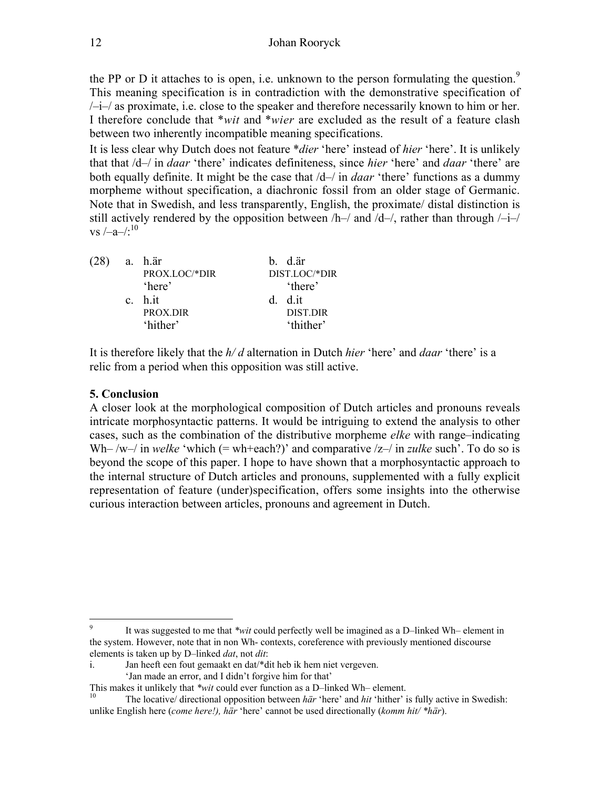the PP or D it attaches to is open, i.e. unknown to the person formulating the question.<sup>9</sup> This meaning specification is in contradiction with the demonstrative specification of  $\frac{1}{4}$  as proximate, i.e. close to the speaker and therefore necessarily known to him or her. I therefore conclude that \**wit* and \**wier* are excluded as the result of a feature clash between two inherently incompatible meaning specifications.

It is less clear why Dutch does not feature \**dier* 'here' instead of *hier* 'here'. It is unlikely that that /d–/ in *daar* 'there' indicates definiteness, since *hier* 'here' and *daar* 'there' are both equally definite. It might be the case that /d–/ in *daar* 'there' functions as a dummy morpheme without specification, a diachronic fossil from an older stage of Germanic. Note that in Swedish, and less transparently, English, the proximate/ distal distinction is still actively rendered by the opposition between  $/h$ –/ and  $/d$ –/, rather than through  $/-i$ –/ vs  $\frac{-a}{s}$ <sup>10</sup>

| $(28)$ a. h.är |               | b. d.är         |
|----------------|---------------|-----------------|
|                | PROX.LOC/*DIR | DIST.LOC/*DIR   |
|                | 'here'        | 'there'         |
|                | c. h.it       | d dit           |
|                | PROX.DIR      | <b>DIST.DIR</b> |
|                | 'hither'      | 'thither'       |

It is therefore likely that the *h/ d* alternation in Dutch *hier* 'here' and *daar* 'there' is a relic from a period when this opposition was still active.

# **5. Conclusion**

A closer look at the morphological composition of Dutch articles and pronouns reveals intricate morphosyntactic patterns. It would be intriguing to extend the analysis to other cases, such as the combination of the distributive morpheme *elke* with range–indicating Wh– /w–/ in *welke* 'which (= wh+each?)' and comparative  $|z-|$  in *zulke* such'. To do so is beyond the scope of this paper. I hope to have shown that a morphosyntactic approach to the internal structure of Dutch articles and pronouns, supplemented with a fully explicit representation of feature (under)specification, offers some insights into the otherwise curious interaction between articles, pronouns and agreement in Dutch.

<sup>&</sup>lt;sup>9</sup> It was suggested to me that *\*wit* could perfectly well be imagined as a D–linked Wh– element in the system. However, note that in non Wh- contexts, coreference with previously mentioned discourse elements is taken up by D–linked *dat*, not *dit*:

i. Jan heeft een fout gemaakt en dat/\*dit heb ik hem niet vergeven.

<sup>&#</sup>x27;Jan made an error, and I didn't forgive him for that'

This makes it unlikely that *\*wit* could ever function as a D–linked Wh– element.<br><sup>10</sup> The locative/ directional opposition between *här* 'here' and *hit* 'hither' is fully active in Swedish: unlike English here (*come here!), här* 'here' cannot be used directionally (*komm hit/ \*här*).